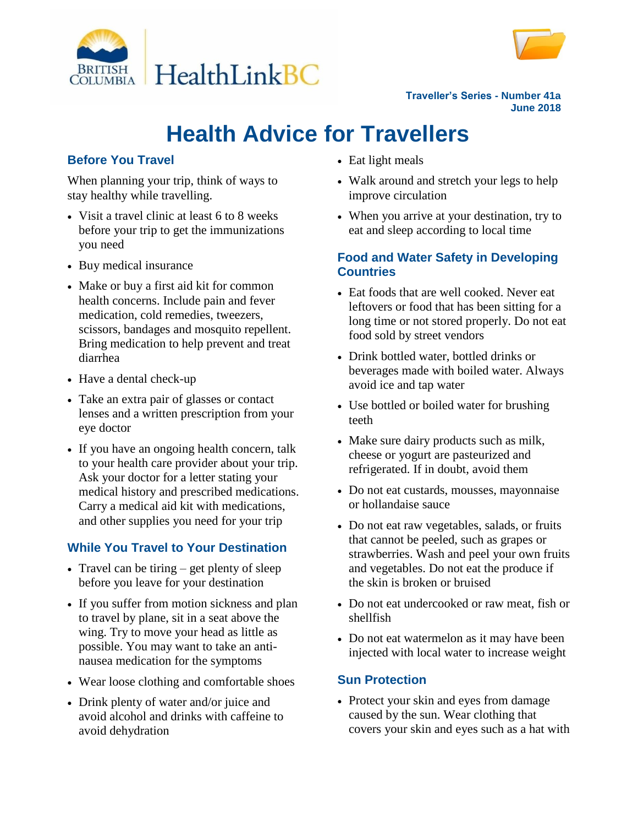



**Traveller's Series - Number 41a June 2018**

# **Health Advice for Travellers**

# **Before You Travel**

When planning your trip, think of ways to stay healthy while travelling.

- Visit a travel clinic at least 6 to 8 weeks before your trip to get the immunizations you need
- Buy medical insurance
- Make or buy a first aid kit for common health concerns. Include pain and fever medication, cold remedies, tweezers, scissors, bandages and mosquito repellent. Bring medication to help prevent and treat diarrhea
- Have a dental check-up
- Take an extra pair of glasses or contact lenses and a written prescription from your eye doctor
- If you have an ongoing health concern, talk to your health care provider about your trip. Ask your doctor for a letter stating your medical history and prescribed medications. Carry a medical aid kit with medications, and other supplies you need for your trip

# **While You Travel to Your Destination**

- Travel can be tiring  $-$  get plenty of sleep before you leave for your destination
- If you suffer from motion sickness and plan to travel by plane, sit in a seat above the wing. Try to move your head as little as possible. You may want to take an antinausea medication for the symptoms
- Wear loose clothing and comfortable shoes
- Drink plenty of water and/or juice and avoid alcohol and drinks with caffeine to avoid dehydration
- Eat light meals
- Walk around and stretch your legs to help improve circulation
- When you arrive at your destination, try to eat and sleep according to local time

# **Food and Water Safety in Developing Countries**

- Eat foods that are well cooked. Never eat leftovers or food that has been sitting for a long time or not stored properly. Do not eat food sold by street vendors
- Drink bottled water, bottled drinks or beverages made with boiled water. Always avoid ice and tap water
- Use bottled or boiled water for brushing teeth
- Make sure dairy products such as milk, cheese or yogurt are pasteurized and refrigerated. If in doubt, avoid them
- Do not eat custards, mousses, mayonnaise or hollandaise sauce
- Do not eat raw vegetables, salads, or fruits that cannot be peeled, such as grapes or strawberries. Wash and peel your own fruits and vegetables. Do not eat the produce if the skin is broken or bruised
- Do not eat undercooked or raw meat, fish or shellfish
- Do not eat watermelon as it may have been injected with local water to increase weight

# **Sun Protection**

• Protect your skin and eyes from damage caused by the sun. Wear clothing that covers your skin and eyes such as a hat with